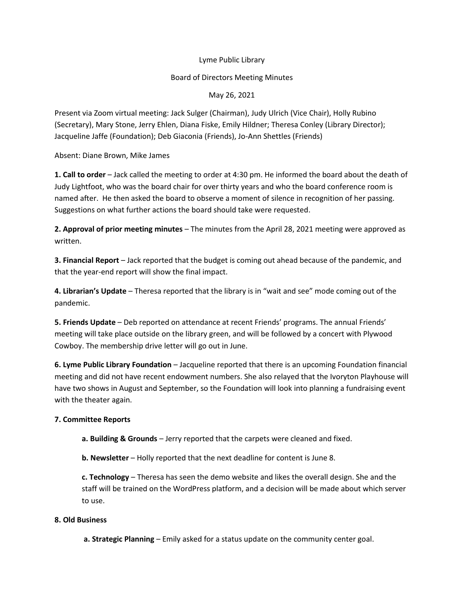## Lyme Public Library

## Board of Directors Meeting Minutes

## May 26, 2021

Present via Zoom virtual meeting: Jack Sulger (Chairman), Judy Ulrich (Vice Chair), Holly Rubino (Secretary), Mary Stone, Jerry Ehlen, Diana Fiske, Emily Hildner; Theresa Conley (Library Director); Jacqueline Jaffe (Foundation); Deb Giaconia (Friends), Jo-Ann Shettles (Friends)

Absent: Diane Brown, Mike James

**1. Call to order** – Jack called the meeting to order at 4:30 pm. He informed the board about the death of Judy Lightfoot, who was the board chair for over thirty years and who the board conference room is named after. He then asked the board to observe a moment of silence in recognition of her passing. Suggestions on what further actions the board should take were requested.

**2. Approval of prior meeting minutes** – The minutes from the April 28, 2021 meeting were approved as written.

**3. Financial Report** – Jack reported that the budget is coming out ahead because of the pandemic, and that the year-end report will show the final impact.

**4. Librarian's Update** – Theresa reported that the library is in "wait and see" mode coming out of the pandemic.

**5. Friends Update** – Deb reported on attendance at recent Friends' programs. The annual Friends' meeting will take place outside on the library green, and will be followed by a concert with Plywood Cowboy. The membership drive letter will go out in June.

**6. Lyme Public Library Foundation** – Jacqueline reported that there is an upcoming Foundation financial meeting and did not have recent endowment numbers. She also relayed that the Ivoryton Playhouse will have two shows in August and September, so the Foundation will look into planning a fundraising event with the theater again.

# **7. Committee Reports**

**a. Building & Grounds** – Jerry reported that the carpets were cleaned and fixed.

**b. Newsletter** – Holly reported that the next deadline for content is June 8.

**c. Technology** – Theresa has seen the demo website and likes the overall design. She and the staff will be trained on the WordPress platform, and a decision will be made about which server to use.

### **8. Old Business**

**a. Strategic Planning** – Emily asked for a status update on the community center goal.